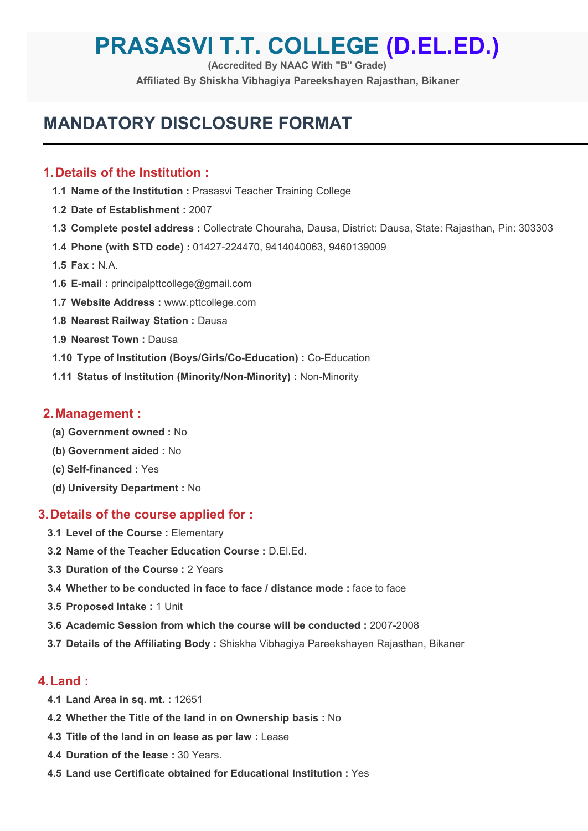# **PRASASVI T.T. COLLEGE (D.EL.ED.)**

**(Accredited By NAAC With "B" Grade)**

**Affiliated By Shiskha Vibhagiya Pareekshayen Rajasthan, Bikaner**

# **MANDATORY DISCLOSURE FORMAT**

# **1.Details of the Institution :**

- **1.1 Name of the Institution :** Prasasvi Teacher Training College
- **1.2 Date of Establishment :** 2007
- **1.3 Complete postel address :** Collectrate Chouraha, Dausa, District: Dausa, State: Rajasthan, Pin: 303303
- **1.4 Phone (with STD code) :** 01427-224470, 9414040063, 9460139009
- **1.5 Fax :** N.A.
- **1.6 E-mail :** [principalpttcollege@gmail.com](mailto:principalpttcollege@gmail.com)
- **1.7 Website Address :** [www.pttcollege.com](http://www.pttcollege.com/)
- **1.8 Nearest Railway Station :** Dausa
- **1.9 Nearest Town :** Dausa
- **1.10 Type of Institution (Boys/Girls/Co-Education) :** Co-Education
- **1.11 Status of Institution (Minority/Non-Minority) :** Non-Minority

#### **2.Management :**

- **(a) Government owned :** No
- **(b) Government aided :** No
- **(c) Self-financed :** Yes
- **(d) University Department :** No

# **3.Details of the course applied for :**

- **3.1 Level ofthe Course :** Elementary
- **3.2 Name of the Teacher Education Course :** D.El.Ed.
- **3.3 Duration of the Course :** 2 Years
- **3.4 Whether to be conducted in face to face / distance mode :** face to face
- **3.5 Proposed Intake :** 1 Unit
- **3.6 Academic Session from which the course will be conducted :** 2007-2008
- **3.7 Details of the Affiliating Body :** Shiskha Vibhagiya Pareekshayen Rajasthan, Bikaner

# **4.Land :**

- **4.1 Land Area in sq. mt. :** 12651
- **4.2 Whether the Title of the land in on Ownership basis :** No
- **4.3 Title of the land in on lease as per law :** Lease
- **4.4 Duration of the lease :** 30 Years.
- **4.5 Land use Certificate obtained for Educational Institution :** Yes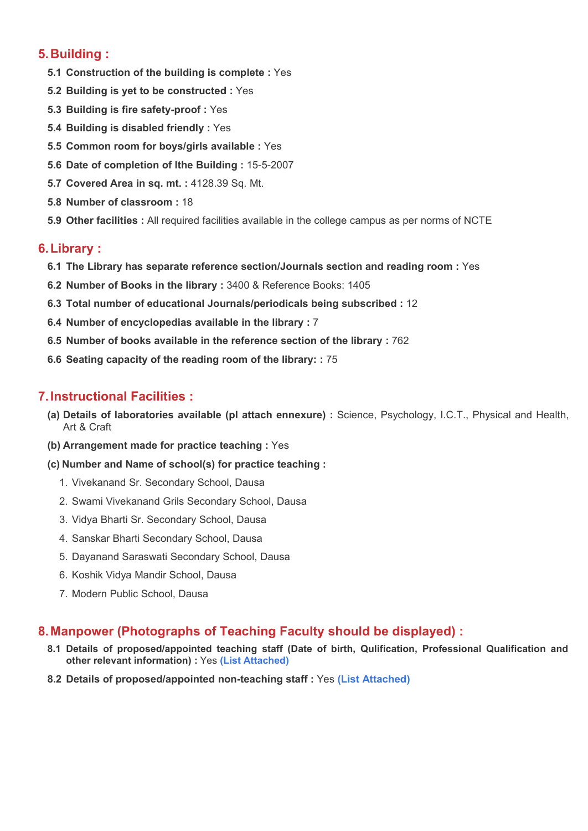# **5.Building :**

- **5.1 Construction of the building is complete :** Yes
- **5.2 Building is yet to be constructed :** Yes
- **5.3 Building is fire safety-proof :** Yes
- **5.4 Building is disabled friendly :** Yes
- **5.5 Common room for boys/girls available :** Yes
- **5.6 Date of completion of lthe Building :** 15-5-2007
- **5.7 Covered Area in sq. mt. :** 4128.39 Sq. Mt.
- **5.8 Number of classroom :** 18
- **5.9 Other facilities :** All required facilities available in the college campus as per norms of NCTE

# **6.Library :**

- **6.1 The Library has separate reference section/Journals section and reading room :** Yes
- **6.2 Number of Books in the library :** 3400 & Reference Books: 1405
- **6.3 Total number of educational Journals/periodicals being subscribed :** 12
- **6.4 Number of encyclopedias available in the library :** 7
- **6.5 Number of books available in the reference section of the library :** 762
- **6.6 Seating capacity of the reading room of the library: :** 75

# **7.Instructional Facilities :**

- **(a) Details of laboratories available (pl attach ennexure) :** Science, Psychology, I.C.T., Physical and Health, Art & Craft
- **(b) Arrangement made for practice teaching :** Yes
- **(c) Number and Name of school(s) for practice teaching :**
	- 1. Vivekanand Sr. Secondary School, Dausa
	- 2. Swami Vivekanand Grils Secondary School, Dausa
	- 3. Vidya Bharti Sr. Secondary School, Dausa
	- 4. Sanskar Bharti Secondary School, Dausa
	- 5. Dayanand Saraswati Secondary School, Dausa
	- 6. Koshik Vidya Mandir School, Dausa
	- 7. Modern Public School, Dausa

# **8.Manpower (Photographs of Teaching Faculty should be displayed) :**

- **8.1 Details of proposed/appointed teaching staff (Date of birth, Qulification, Professional Qualification and other relevant information) :** Yes **(List [Attached\)](http://www.pttcollege.com/deled/teaching-staff.php)**
- **8.2 Details of proposed/appointed non-teaching staff :** Yes **(List [Attached\)](http://www.pttcollege.com/deled/teaching-staff.php)**